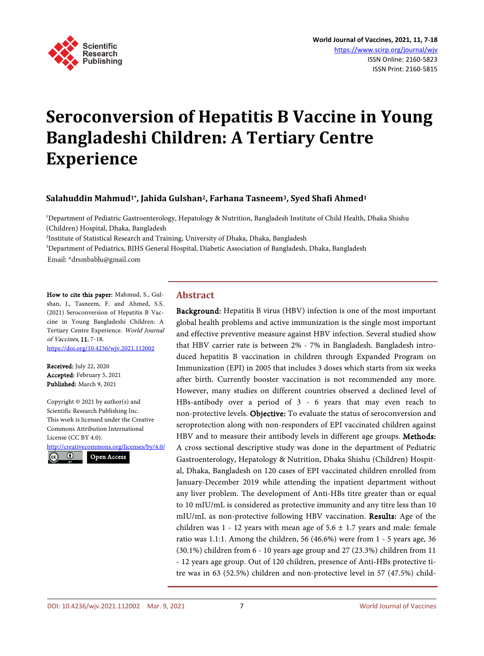

# **Seroconversion of Hepatitis B Vaccine in Young Bangladeshi Children: A Tertiary Centre Experience**

## **Salahuddin Mahmud1\*, Jahida Gulshan2, Farhana Tasneem3, Syed Shafi Ahmed1**

1 Department of Pediatric Gastroenterology, Hepatology & Nutrition, Bangladesh Institute of Child Health, Dhaka Shishu (Children) Hospital, Dhaka, Bangladesh

2 Institute of Statistical Research and Training, University of Dhaka, Dhaka, Bangladesh

3 Department of Pediatrics, BIHS General Hospital, Diabetic Association of Bangladesh, Dhaka, Bangladesh

Email: \*drsmbablu@gmail.com

How to cite this paper: Mahmud, S., Gulshan, J., Tasneem, F. and Ahmed, S.S. (2021) Seroconversion of Hepatitis B Vaccine in Young Bangladeshi Children: A Tertiary Centre Experience. World Journal of Vaccines, 11, 7-18. <https://doi.org/10.4236/wjv.2021.112002>

Received: July 22, 2020 Accepted: February 5, 2021 Published: March 9, 2021

Copyright © 2021 by author(s) and Scientific Research Publishing Inc. This work is licensed under the Creative Commons Attribution International License (CC BY 4.0).

<http://creativecommons.org/licenses/by/4.0/>



## **Abstract**

Background: Hepatitis B virus (HBV) infection is one of the most important global health problems and active immunization is the single most important and effective preventive measure against HBV infection. Several studied show that HBV carrier rate is between 2% - 7% in Bangladesh. Bangladesh introduced hepatitis B vaccination in children through Expanded Program on Immunization (EPI) in 2005 that includes 3 doses which starts from six weeks after birth. Currently booster vaccination is not recommended any more. However, many studies on different countries observed a declined level of HBs-antibody over a period of 3 - 6 years that may even reach to non-protective levels. Objective: To evaluate the status of seroconversion and seroprotection along with non-responders of EPI vaccinated children against HBV and to measure their antibody levels in different age groups. Methods: A cross sectional descriptive study was done in the department of Pediatric Gastroenterology, Hepatology & Nutrition, Dhaka Shishu (Children) Hospital, Dhaka, Bangladesh on 120 cases of EPI vaccinated children enrolled from January-December 2019 while attending the inpatient department without any liver problem. The development of Anti-HBs titre greater than or equal to 10 mIU/mL is considered as protective immunity and any titre less than 10 mIU/mL as non-protective following HBV vaccination. Results: Age of the children was  $1 - 12$  years with mean age of  $5.6 \pm 1.7$  years and male: female ratio was 1.1:1. Among the children, 56 (46.6%) were from 1 - 5 years age, 36 (30.1%) children from 6 - 10 years age group and 27 (23.3%) children from 11 - 12 years age group. Out of 120 children, presence of Anti-HBs protective titre was in 63 (52.5%) children and non-protective level in 57 (47.5%) child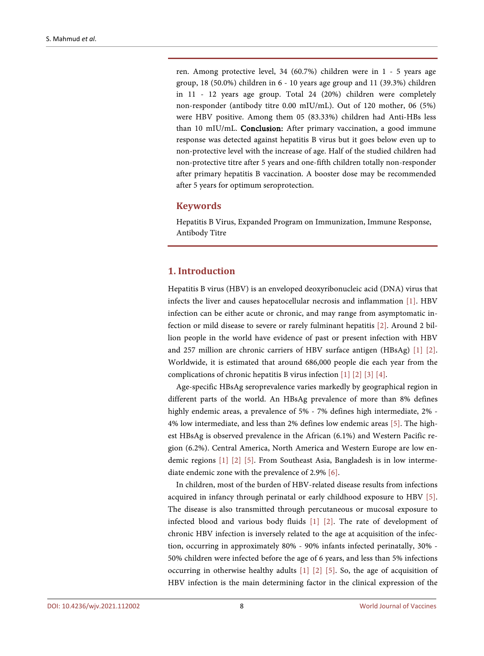ren. Among protective level, 34 (60.7%) children were in 1 - 5 years age group, 18 (50.0%) children in 6 - 10 years age group and 11 (39.3%) children in 11 - 12 years age group. Total 24 (20%) children were completely non-responder (antibody titre 0.00 mIU/mL). Out of 120 mother, 06 (5%) were HBV positive. Among them 05 (83.33%) children had Anti-HBs less than 10 mIU/mL. Conclusion: After primary vaccination, a good immune response was detected against hepatitis B virus but it goes below even up to non-protective level with the increase of age. Half of the studied children had non-protective titre after 5 years and one-fifth children totally non-responder after primary hepatitis B vaccination. A booster dose may be recommended after 5 years for optimum seroprotection.

## **Keywords**

Hepatitis B Virus, Expanded Program on Immunization, Immune Response, Antibody Titre

#### **1. Introduction**

Hepatitis B virus (HBV) is an enveloped deoxyribonucleic acid (DNA) virus that infects the liver and causes hepatocellular necrosis and inflammation [\[1\].](#page-10-0) HBV infection can be either acute or chronic, and may range from asymptomatic infection or mild disease to severe or rarely fulminant hepatitis [\[2\].](#page-10-1) Around 2 billion people in the world have evidence of past or present infection with HBV and 257 million are chronic carriers of HBV surface antigen (HBsAg) [\[1\]](#page-10-0) [\[2\].](#page-10-1) Worldwide, it is estimated that around 686,000 people die each year from the complications of chronic hepatitis B virus infection [\[1\]](#page-10-0) [\[2\]](#page-10-1) [\[3\]](#page-10-2) [\[4\].](#page-10-3)

Age-specific HBsAg seroprevalence varies markedly by geographical region in different parts of the world. An HBsAg prevalence of more than 8% defines highly endemic areas, a prevalence of 5% - 7% defines high intermediate, 2% - 4% low intermediate, and less than 2% defines low endemic areas [\[5\].](#page-10-4) The highest HBsAg is observed prevalence in the African (6.1%) and Western Pacific region (6.2%). Central America, North America and Western Europe are low endemic regions [\[1\]](#page-10-0) [\[2\]](#page-10-1) [\[5\].](#page-10-4) From Southeast Asia, Bangladesh is in low intermediate endemic zone with the prevalence of 2.9% [\[6\].](#page-10-5)

In children, most of the burden of HBV-related disease results from infections acquired in infancy through perinatal or early childhood exposure to HBV [\[5\].](#page-10-4) The disease is also transmitted through percutaneous or mucosal exposure to infected blood and various body fluids [\[1\]](#page-10-0) [\[2\].](#page-10-1) The rate of development of chronic HBV infection is inversely related to the age at acquisition of the infection, occurring in approximately 80% - 90% infants infected perinatally, 30% - 50% children were infected before the age of 6 years, and less than 5% infections occurring in otherwise healthy adults [\[1\]](#page-10-0) [\[2\]](#page-10-1) [\[5\].](#page-10-4) So, the age of acquisition of HBV infection is the main determining factor in the clinical expression of the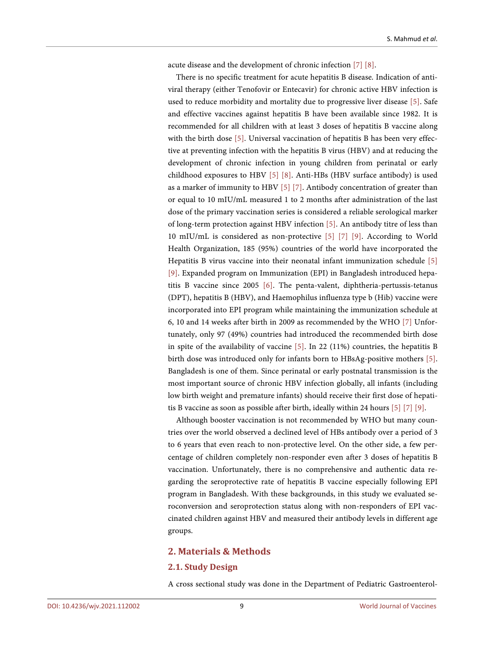acute disease and the development of chronic infection [\[7\]](#page-10-6) [\[8\].](#page-10-7)

There is no specific treatment for acute hepatitis B disease. Indication of antiviral therapy (either Tenofovir or Entecavir) for chronic active HBV infection is used to reduce morbidity and mortality due to progressive liver disease [\[5\].](#page-10-4) Safe and effective vaccines against hepatitis B have been available since 1982. It is recommended for all children with at least 3 doses of hepatitis B vaccine along with the birth dose [\[5\].](#page-10-4) Universal vaccination of hepatitis B has been very effective at preventing infection with the hepatitis B virus (HBV) and at reducing the development of chronic infection in young children from perinatal or early childhood exposures to HBV [\[5\]](#page-10-4) [\[8\].](#page-10-7) Anti-HBs (HBV surface antibody) is used as a marker of immunity to HBV [\[5\]](#page-10-4) [\[7\].](#page-10-6) Antibody concentration of greater than or equal to 10 mIU/mL measured 1 to 2 months after administration of the last dose of the primary vaccination series is considered a reliable serological marker of long-term protection against HBV infection [\[5\].](#page-10-4) An antibody titre of less than 10 mIU/mL is considered as non-protective [\[5\]](#page-10-4) [\[7\]](#page-10-6) [\[9\].](#page-10-8) According to World Health Organization, 185 (95%) countries of the world have incorporated the Hepatitis B virus vaccine into their neonatal infant immunization schedule [\[5\]](#page-10-4) [\[9\].](#page-10-8) Expanded program on Immunization (EPI) in Bangladesh introduced hepatitis B vaccine since 2005 [\[6\].](#page-10-5) The penta-valent, diphtheria-pertussis-tetanus (DPT), hepatitis B (HBV), and Haemophilus influenza type b (Hib) vaccine were incorporated into EPI program while maintaining the immunization schedule at 6, 10 and 14 weeks after birth in 2009 as recommended by the WHO [\[7\]](#page-10-6) Unfortunately, only 97 (49%) countries had introduced the recommended birth dose in spite of the availability of vaccine [\[5\].](#page-10-4) In 22 (11%) countries, the hepatitis B birth dose was introduced only for infants born to HBsAg-positive mothers [\[5\].](#page-10-4) Bangladesh is one of them. Since perinatal or early postnatal transmission is the most important source of chronic HBV infection globally, all infants (including low birth weight and premature infants) should receive their first dose of hepatitis B vaccine as soon as possible after birth, ideally within 24 hours [\[5\]](#page-10-4) [\[7\]](#page-10-6) [\[9\].](#page-10-8)

Although booster vaccination is not recommended by WHO but many countries over the world observed a declined level of HBs antibody over a period of 3 to 6 years that even reach to non-protective level. On the other side, a few percentage of children completely non-responder even after 3 doses of hepatitis B vaccination. Unfortunately, there is no comprehensive and authentic data regarding the seroprotective rate of hepatitis B vaccine especially following EPI program in Bangladesh. With these backgrounds, in this study we evaluated seroconversion and seroprotection status along with non-responders of EPI vaccinated children against HBV and measured their antibody levels in different age groups.

#### **2. Materials & Methods**

#### **2.1. Study Design**

A cross sectional study was done in the Department of Pediatric Gastroenterol-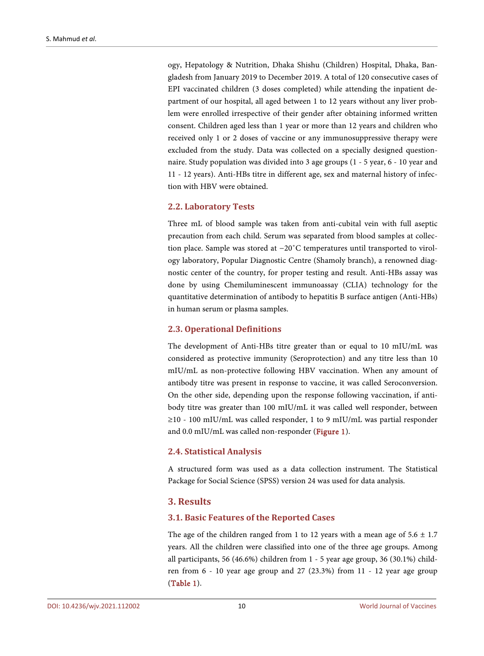ogy, Hepatology & Nutrition, Dhaka Shishu (Children) Hospital, Dhaka, Bangladesh from January 2019 to December 2019. A total of 120 consecutive cases of EPI vaccinated children (3 doses completed) while attending the inpatient department of our hospital, all aged between 1 to 12 years without any liver problem were enrolled irrespective of their gender after obtaining informed written consent. Children aged less than 1 year or more than 12 years and children who received only 1 or 2 doses of vaccine or any immunosuppressive therapy were excluded from the study. Data was collected on a specially designed questionnaire. Study population was divided into 3 age groups (1 - 5 year, 6 - 10 year and 11 - 12 years). Anti-HBs titre in different age, sex and maternal history of infection with HBV were obtained.

## **2.2. Laboratory Tests**

Three mL of blood sample was taken from anti-cubital vein with full aseptic precaution from each child. Serum was separated from blood samples at collection place. Sample was stored at −20˚C temperatures until transported to virology laboratory, Popular Diagnostic Centre (Shamoly branch), a renowned diagnostic center of the country, for proper testing and result. Anti-HBs assay was done by using Chemiluminescent immunoassay (CLIA) technology for the quantitative determination of antibody to hepatitis B surface antigen (Anti-HBs) in human serum or plasma samples.

## **2.3. Operational Definitions**

The development of Anti-HBs titre greater than or equal to 10 mIU/mL was considered as protective immunity (Seroprotection) and any titre less than 10 mIU/mL as non-protective following HBV vaccination. When any amount of antibody titre was present in response to vaccine, it was called Seroconversion. On the other side, depending upon the response following vaccination, if antibody titre was greater than 100 mIU/mL it was called well responder, between ≥10 - 100 mIU/mL was called responder, 1 to 9 mIU/mL was partial responder and 0.0 mIU/mL was called non-responder [\(Figure 1\)](#page-4-0).

## **2.4. Statistical Analysis**

A structured form was used as a data collection instrument. The Statistical Package for Social Science (SPSS) version 24 was used for data analysis.

# **3. Results**

## **3.1. Basic Features of the Reported Cases**

The age of the children ranged from 1 to 12 years with a mean age of  $5.6 \pm 1.7$ years. All the children were classified into one of the three age groups. Among all participants, 56 (46.6%) children from 1 - 5 year age group, 36 (30.1%) children from 6 - 10 year age group and 27 (23.3%) from 11 - 12 year age group [\(Table 1\)](#page-4-1).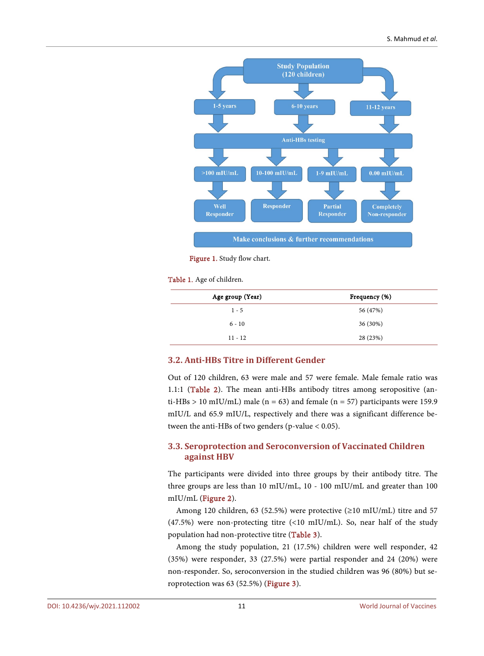<span id="page-4-0"></span>

Figure 1. Study flow chart.

<span id="page-4-1"></span>Table 1. Age of children.

| Age group (Year) | Frequency (%) |
|------------------|---------------|
| $1 - 5$          | 56 (47%)      |
| $6 - 10$         | 36 (30%)      |
| $11 - 12$        | 28 (23%)      |

## **3.2. Anti-HBs Titre in Different Gender**

Out of 120 children, 63 were male and 57 were female. Male female ratio was 1.1:1 [\(Table 2\)](#page-5-0). The mean anti-HBs antibody titres among seropositive (anti-HBs > 10 mIU/mL) male ( $n = 63$ ) and female ( $n = 57$ ) participants were 159.9 mIU/L and 65.9 mIU/L, respectively and there was a significant difference between the anti-HBs of two genders (p-value  $< 0.05$ ).

## **3.3. Seroprotection and Seroconversion of Vaccinated Children against HBV**

The participants were divided into three groups by their antibody titre. The three groups are less than 10 mIU/mL, 10 - 100 mIU/mL and greater than 100 mIU/mL [\(Figure 2\)](#page-5-1).

Among 120 children, 63 (52.5%) were protective (≥10 mIU/mL) titre and 57 (47.5%) were non-protecting titre (<10 mIU/mL). So, near half of the study population had non-protective titre [\(Table 3\)](#page-5-2).

Among the study population, 21 (17.5%) children were well responder, 42 (35%) were responder, 33 (27.5%) were partial responder and 24 (20%) were non-responder. So, seroconversion in the studied children was 96 (80%) but seroprotection was 63 (52.5%) [\(Figure 3\)](#page-5-3).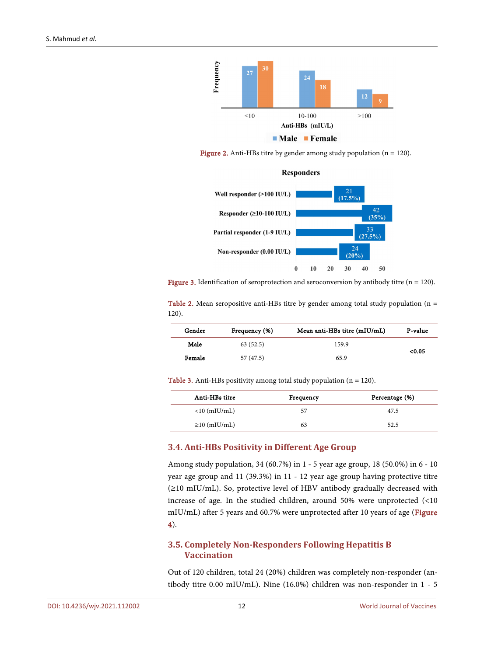<span id="page-5-1"></span>

<span id="page-5-3"></span>**Figure 2.** Anti-HBs titre by gender among study population  $(n = 120)$ .



Figure 3. Identification of seroprotection and seroconversion by antibody titre ( $n = 120$ ).

<span id="page-5-0"></span>Table 2. Mean seropositive anti-HBs titre by gender among total study population ( $n =$ 120).

| Gender              | Frequency (%)     | Mean anti-HBs titre (mIU/mL) | P-value |
|---------------------|-------------------|------------------------------|---------|
| Male                | 63(52.5)<br>159.9 |                              | < 0.05  |
| Female<br>57 (47.5) |                   | 65.9                         |         |

<span id="page-5-2"></span>Table 3. Anti-HBs positivity among total study population (n = 120).

| Anti-HBs titre     | Frequency | Percentage (%) |
|--------------------|-----------|----------------|
| $<$ 10 (mIU/mL)    | 57        | 47.5           |
| $\geq$ 10 (mIU/mL) | 63        | 52.5           |

## **3.4. Anti-HBs Positivity in Different Age Group**

Among study population, 34 (60.7%) in 1 - 5 year age group, 18 (50.0%) in 6 - 10 year age group and 11 (39.3%) in 11 - 12 year age group having protective titre (≥10 mIU/mL). So, protective level of HBV antibody gradually decreased with increase of age. In the studied children, around 50% were unprotected (<10 mIU/mL) after 5 years and 60.7% were unprotected after 10 years of age [\(Figure](#page-6-0)  [4\)](#page-6-0).

## **3.5. Completely Non-Responders Following Hepatitis B Vaccination**

Out of 120 children, total 24 (20%) children was completely non-responder (antibody titre 0.00 mIU/mL). Nine (16.0%) children was non-responder in 1 - 5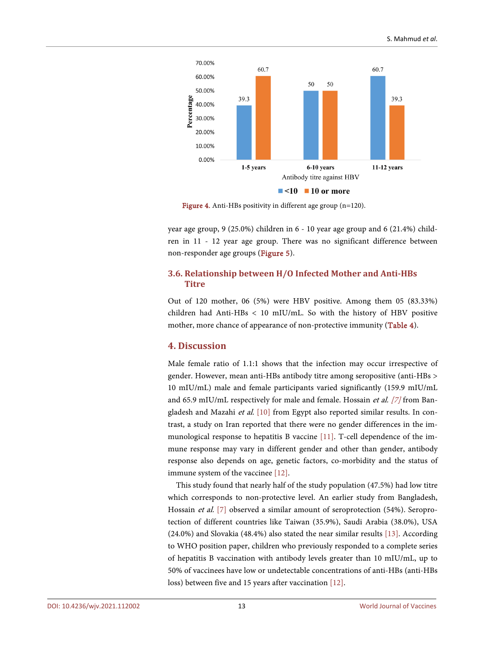<span id="page-6-0"></span>

Figure 4. Anti-HBs positivity in different age group (n=120).

year age group,  $9(25.0\%)$  children in 6 - 10 year age group and 6 (21.4%) children in 11 - 12 year age group. There was no significant difference between non-responder age groups [\(Figure 5\)](#page-7-0).

## **3.6. Relationship between H/O Infected Mother and Anti-HBs Titre**

Out of 120 mother, 06 (5%) were HBV positive. Among them 05 (83.33%) children had Anti-HBs < 10 mIU/mL. So with the history of HBV positive mother, more chance of appearance of non-protective immunity [\(Table 4\)](#page-7-1).

# **4. Discussion**

Male female ratio of 1.1:1 shows that the infection may occur irrespective of gender. However, mean anti-HBs antibody titre among seropositive (anti-HBs > 10 mIU/mL) male and female participants varied significantly (159.9 mIU/mL and 65.9 mIU/mL respectively for male and female. Hossain et al. [\[7\]](#page-10-6) from Ban-gladesh and Mazahi et al. [\[10\]](#page-10-9) from Egypt also reported similar results. In contrast, a study on Iran reported that there were no gender differences in the immunological response to hepatitis B vaccine [\[11\].](#page-10-10) T-cell dependence of the immune response may vary in different gender and other than gender, antibody response also depends on age, genetic factors, co-morbidity and the status of immune system of the vaccinee [\[12\].](#page-10-11)

This study found that nearly half of the study population (47.5%) had low titre which corresponds to non-protective level. An earlier study from Bangladesh, Hossain et al. [\[7\]](#page-10-6) observed a similar amount of seroprotection (54%). Seroprotection of different countries like Taiwan (35.9%), Saudi Arabia (38.0%), USA (24.0%) and Slovakia (48.4%) also stated the near similar results [\[13\].](#page-10-12) According to WHO position paper, children who previously responded to a complete series of hepatitis B vaccination with antibody levels greater than 10 mIU/mL, up to 50% of vaccinees have low or undetectable concentrations of anti-HBs (anti-HBs loss) between five and 15 years after vaccination [\[12\].](#page-10-11)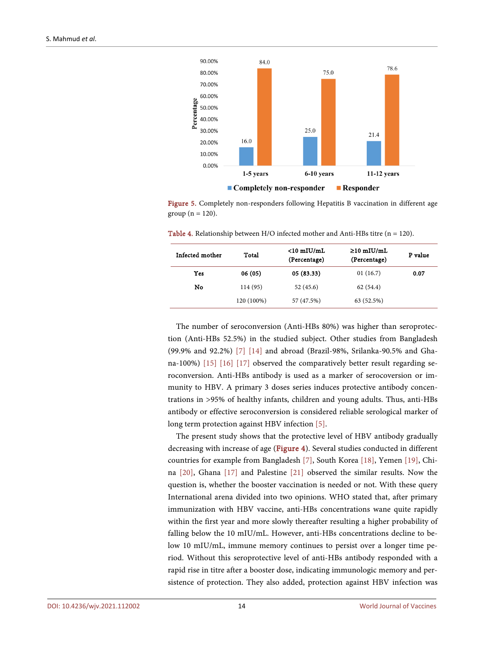<span id="page-7-0"></span>

Figure 5. Completely non-responders following Hepatitis B vaccination in different age group ( $n = 120$ ).

<span id="page-7-1"></span>

| <b>Table 4.</b> Relationship between $H/O$ infected mother and Anti-HBs titre (n = 120). |  |
|------------------------------------------------------------------------------------------|--|
|------------------------------------------------------------------------------------------|--|

| Total      | $<$ 10 mIU/mL<br>(Percentage) | $\geq$ 10 mIU/mL<br>(Percentage) | P value |
|------------|-------------------------------|----------------------------------|---------|
| 06(05)     | 05 (83.33)                    | 01(16.7)                         | 0.07    |
| 114 (95)   | 52(45.6)                      | 62(54.4)                         |         |
| 120 (100%) | 57 (47.5%)                    | 63 (52.5%)                       |         |
|            |                               |                                  |         |

The number of seroconversion (Anti-HBs 80%) was higher than seroprotection (Anti-HBs 52.5%) in the studied subject. Other studies from Bangladesh (99.9% and 92.2%) [\[7\]](#page-10-6) [\[14\]](#page-10-13) and abroad (Brazil-98%, Srilanka-90.5% and Ghana-100%) [\[15\]](#page-10-14) [\[16\]](#page-10-15) [\[17\]](#page-10-16) observed the comparatively better result regarding seroconversion. Anti-HBs antibody is used as a marker of serocoversion or immunity to HBV. A primary 3 doses series induces protective antibody concentrations in >95% of healthy infants, children and young adults. Thus, anti-HBs antibody or effective seroconversion is considered reliable serological marker of long term protection against HBV infection [\[5\].](#page-10-4)

The present study shows that the protective level of HBV antibody gradually decreasing with increase of age [\(Figure 4\)](#page-6-0). Several studies conducted in different countries for example from Bangladesh [\[7\],](#page-10-6) South Korea [\[18\],](#page-11-0) Yemen [\[19\],](#page-11-1) China [\[20\],](#page-11-2) Ghana [\[17\]](#page-10-16) and Palestine [\[21\]](#page-11-3) observed the similar results. Now the question is, whether the booster vaccination is needed or not. With these query International arena divided into two opinions. WHO stated that, after primary immunization with HBV vaccine, anti-HBs concentrations wane quite rapidly within the first year and more slowly thereafter resulting a higher probability of falling below the 10 mIU/mL. However, anti-HBs concentrations decline to below 10 mIU/mL, immune memory continues to persist over a longer time period. Without this seroprotective level of anti-HBs antibody responded with a rapid rise in titre after a booster dose, indicating immunologic memory and persistence of protection. They also added, protection against HBV infection was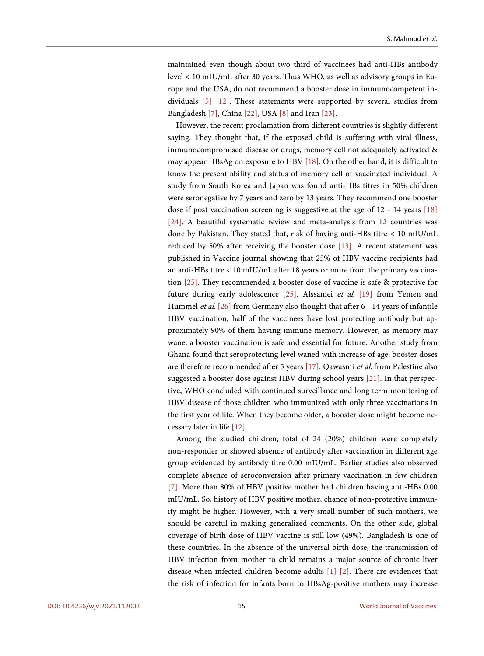maintained even though about two third of vaccinees had anti-HBs antibody level < 10 mIU/mL after 30 years. Thus WHO, as well as advisory groups in Europe and the USA, do not recommend a booster dose in immunocompetent individuals [\[5\]](#page-10-4) [\[12\].](#page-10-11) These statements were supported by several studies from Bangladesh [\[7\],](#page-10-6) China [\[22\],](#page-11-4) US[A \[8\]](#page-10-7) and Ira[n \[23\].](#page-11-5) 

However, the recent proclamation from different countries is slightly different saying. They thought that, if the exposed child is suffering with viral illness, immunocompromised disease or drugs, memory cell not adequately activated & may appear HBsAg on exposure to HBV [\[18\].](#page-11-0) On the other hand, it is difficult to know the present ability and status of memory cell of vaccinated individual. A study from South Korea and Japan was found anti-HBs titres in 50% children were seronegative by 7 years and zero by 13 years. They recommend one booster dose if post vaccination screening is suggestive at the age of 12 - 14 years [\[18\]](#page-11-0) [\[24\].](#page-11-6) A beautiful systematic review and meta-analysis from 12 countries was done by Pakistan. They stated that, risk of having anti-HBs titre < 10 mIU/mL reduced by 50% after receiving the booster dose [\[13\].](#page-10-12) A recent statement was published in Vaccine journal showing that 25% of HBV vaccine recipients had an anti-HBs titre < 10 mIU/mL after 18 years or more from the primary vaccination [\[25\].](#page-11-7) They recommended a booster dose of vaccine is safe & protective for future during early adolescence [\[25\].](#page-11-7) Alssamei et al. [\[19\]](#page-11-1) from Yemen and Hummel et al. [\[26\]](#page-11-8) from Germany also thought that after 6 - 14 years of infantile HBV vaccination, half of the vaccinees have lost protecting antibody but approximately 90% of them having immune memory. However, as memory may wane, a booster vaccination is safe and essential for future. Another study from Ghana found that seroprotecting level waned with increase of age, booster doses are therefore recommended after 5 years [\[17\].](#page-10-16) Qawasmi et al. from Palestine also suggested a booster dose against HBV during school years [\[21\].](#page-11-3) In that perspective, WHO concluded with continued surveillance and long term monitoring of HBV disease of those children who immunized with only three vaccinations in the first year of life. When they become older, a booster dose might become necessary later in life [\[12\].](#page-10-11)

Among the studied children, total of 24 (20%) children were completely non-responder or showed absence of antibody after vaccination in different age group evidenced by antibody titre 0.00 mIU/mL. Earlier studies also observed complete absence of seroconversion after primary vaccination in few children [\[7\].](#page-10-6) More than 80% of HBV positive mother had children having anti-HBs 0.00 mIU/mL. So, history of HBV positive mother, chance of non-protective immunity might be higher. However, with a very small number of such mothers, we should be careful in making generalized comments. On the other side, global coverage of birth dose of HBV vaccine is still low (49%). Bangladesh is one of these countries. In the absence of the universal birth dose, the transmission of HBV infection from mother to child remains a major source of chronic liver disease when infected children become adults [\[1\]](#page-10-0) [\[2\].](#page-10-1) There are evidences that the risk of infection for infants born to HBsAg-positive mothers may increase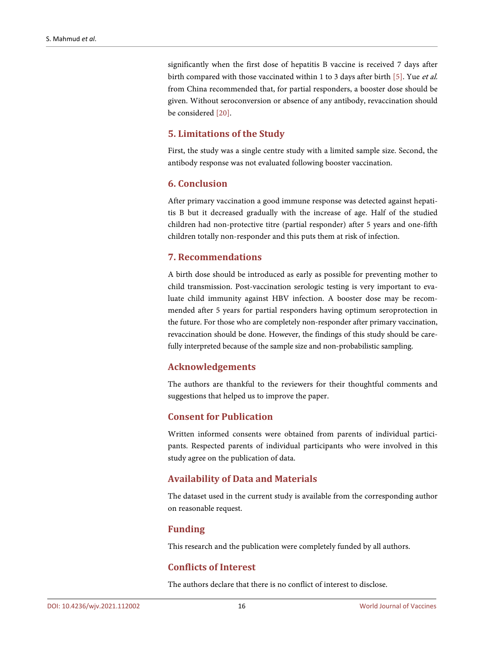significantly when the first dose of hepatitis B vaccine is received 7 days after birth compared with those vaccinated within 1 to 3 days after birth [\[5\].](#page-10-4) Yue et al. from China recommended that, for partial responders, a booster dose should be given. Without seroconversion or absence of any antibody, revaccination should be considered [\[20\].](#page-11-2)

# **5. Limitations of the Study**

First, the study was a single centre study with a limited sample size. Second, the antibody response was not evaluated following booster vaccination.

# **6. Conclusion**

After primary vaccination a good immune response was detected against hepatitis B but it decreased gradually with the increase of age. Half of the studied children had non-protective titre (partial responder) after 5 years and one-fifth children totally non-responder and this puts them at risk of infection.

## **7. Recommendations**

A birth dose should be introduced as early as possible for preventing mother to child transmission. Post-vaccination serologic testing is very important to evaluate child immunity against HBV infection. A booster dose may be recommended after 5 years for partial responders having optimum seroprotection in the future. For those who are completely non-responder after primary vaccination, revaccination should be done. However, the findings of this study should be carefully interpreted because of the sample size and non-probabilistic sampling.

## **Acknowledgements**

The authors are thankful to the reviewers for their thoughtful comments and suggestions that helped us to improve the paper.

# **Consent for Publication**

Written informed consents were obtained from parents of individual participants. Respected parents of individual participants who were involved in this study agree on the publication of data.

## **Availability of Data and Materials**

The dataset used in the current study is available from the corresponding author on reasonable request.

## **Funding**

This research and the publication were completely funded by all authors.

# **Conflicts of Interest**

The authors declare that there is no conflict of interest to disclose.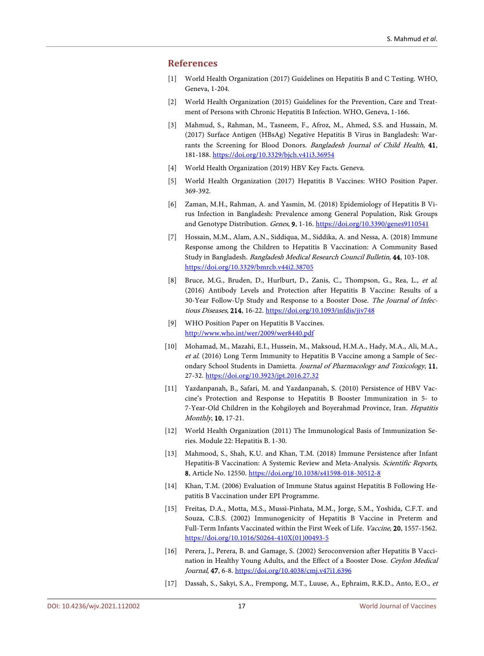## <span id="page-10-0"></span>**References**

- [1] World Health Organization (2017) Guidelines on Hepatitis B and C Testing. WHO, Geneva, 1-204.
- <span id="page-10-1"></span>[2] World Health Organization (2015) Guidelines for the Prevention, Care and Treatment of Persons with Chronic Hepatitis B Infection. WHO, Geneva, 1-166.
- <span id="page-10-2"></span>[3] Mahmud, S., Rahman, M., Tasneem, F., Afroz, M., Ahmed, S.S. and Hussain, M. (2017) Surface Antigen (HBsAg) Negative Hepatitis B Virus in Bangladesh: Warrants the Screening for Blood Donors. Bangladesh Journal of Child Health, 41, 181-188. <https://doi.org/10.3329/bjch.v41i3.36954>
- <span id="page-10-3"></span>[4] World Health Organization (2019) HBV Key Facts. Geneva.
- <span id="page-10-4"></span>[5] World Health Organization (2017) Hepatitis B Vaccines: WHO Position Paper. 369-392.
- <span id="page-10-5"></span>[6] Zaman, M.H., Rahman, A. and Yasmin, M. (2018) Epidemiology of Hepatitis B Virus Infection in Bangladesh: Prevalence among General Population, Risk Groups and Genotype Distribution. Genes, 9, 1-16. <https://doi.org/10.3390/genes9110541>
- <span id="page-10-6"></span>[7] Hossain, M.M., Alam, A.N., Siddiqua, M., Siddika, A. and Nessa, A. (2018) Immune Response among the Children to Hepatitis B Vaccination: A Community Based Study in Bangladesh. Bangladesh Medical Research Council Bulletin, 44, 103-108. <https://doi.org/10.3329/bmrcb.v44i2.38705>
- <span id="page-10-7"></span>[8] Bruce, M.G., Bruden, D., Hurlburt, D., Zanis, C., Thompson, G., Rea, L., et al. (2016) Antibody Levels and Protection after Hepatitis B Vaccine: Results of a 30-Year Follow-Up Study and Response to a Booster Dose. The Journal of Infectious Diseases, 214, 16-22. <https://doi.org/10.1093/infdis/jiv748>
- [9] WHO Position Paper on Hepatitis B Vaccines. <http://www.who.int/wer/2009/wer8440.pdf>
- <span id="page-10-9"></span><span id="page-10-8"></span>[10] Mohamad, M., Mazahi, E.I., Hussein, M., Maksoud, H.M.A., Hady, M.A., Ali, M.A., et al. (2016) Long Term Immunity to Hepatitis B Vaccine among a Sample of Secondary School Students in Damietta. Journal of Pharmacology and Toxicology, 11, 27-32. <https://doi.org/10.3923/jpt.2016.27.32>
- <span id="page-10-10"></span>[11] Yazdanpanah, B., Safari, M. and Yazdanpanah, S. (2010) Persistence of HBV Vaccine's Protection and Response to Hepatitis B Booster Immunization in 5- to 7-Year-Old Children in the Kohgiloyeh and Boyerahmad Province, Iran. Hepatitis Monthly, 10, 17-21.
- <span id="page-10-11"></span>[12] World Health Organization (2011) The Immunological Basis of Immunization Series. Module 22: Hepatitis B. 1-30.
- <span id="page-10-12"></span>[13] Mahmood, S., Shah, K.U. and Khan, T.M. (2018) Immune Persistence after Infant Hepatitis-B Vaccination: A Systemic Review and Meta-Analysis. Scientific Reports, 8, Article No. 12550. <https://doi.org/10.1038/s41598-018-30512-8>
- <span id="page-10-13"></span>[14] Khan, T.M. (2006) Evaluation of Immune Status against Hepatitis B Following Hepatitis B Vaccination under EPI Programme.
- <span id="page-10-14"></span>[15] Freitas, D.A., Motta, M.S., Mussi-Pinhata, M.M., Jorge, S.M., Yoshida, C.F.T. and Souza, C.B.S. (2002) Immunogenicity of Hepatitis B Vaccine in Preterm and Full-Term Infants Vaccinated within the First Week of Life. Vaccine, 20, 1557-1562. [https://doi.org/10.1016/S0264-410X\(01\)00493-5](https://doi.org/10.1016/S0264-410X(01)00493-5)
- <span id="page-10-15"></span>[16] Perera, J., Perera, B. and Gamage, S. (2002) Seroconversion after Hepatitis B Vaccination in Healthy Young Adults, and the Effect of a Booster Dose. Ceylon Medical Journal, 47, 6-8. <https://doi.org/10.4038/cmj.v47i1.6396>
- <span id="page-10-16"></span>[17] Dassah, S., Sakyi, S.A., Frempong, M.T., Luuse, A., Ephraim, R.K.D., Anto, E.O., et